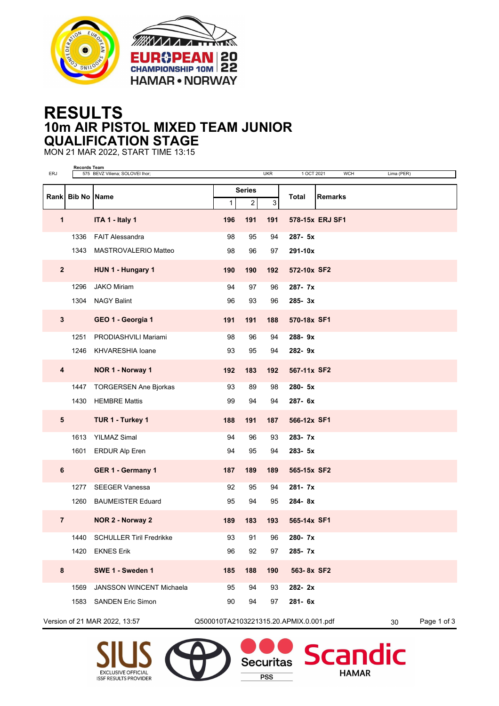



## **RESULTS 10m AIR PISTOL MIXED TEAM JUNIOR QUALIFICATION STAGE**

MON 21 MAR 2022, START TIME 13:15

| ERJ                     | <b>Records Team</b> | 575 BEVZ Viliena; SOLOVEI Ihor; |                                        |                                 | <b>UKR</b> | 1 OCT 2021      |                | <b>WCH</b> | Lima (PER)        |             |
|-------------------------|---------------------|---------------------------------|----------------------------------------|---------------------------------|------------|-----------------|----------------|------------|-------------------|-------------|
| Rank                    | <b>Bib No Name</b>  |                                 | $\mathbf{1}$                           | <b>Series</b><br>$\overline{2}$ | 3          | Total           | <b>Remarks</b> |            |                   |             |
| 1                       |                     | ITA 1 - Italy 1                 | 196                                    | 191                             | 191        | 578-15x ERJ SF1 |                |            |                   |             |
|                         | 1336                | <b>FAIT Alessandra</b>          | 98                                     | 95                              | 94         | $287 - 5x$      |                |            |                   |             |
|                         | 1343                | MASTROVALERIO Matteo            | 98                                     | 96                              | 97         | 291-10x         |                |            |                   |             |
| $\overline{2}$          |                     | HUN 1 - Hungary 1               | 190                                    | 190                             | 192        | 572-10x SF2     |                |            |                   |             |
|                         | 1296                | <b>JAKO Miriam</b>              | 94                                     | 97                              | 96         | 287-7x          |                |            |                   |             |
|                         | 1304                | <b>NAGY Balint</b>              | 96                                     | 93                              | 96         | $285 - 3x$      |                |            |                   |             |
| $3\phantom{a}$          |                     | GEO 1 - Georgia 1               | 191                                    | 191                             | 188        | 570-18x SF1     |                |            |                   |             |
|                         | 1251                | PRODIASHVILI Mariami            | 98                                     | 96                              | 94         | 288-9x          |                |            |                   |             |
|                         | 1246                | KHVARESHIA Ioane                | 93                                     | 95                              | 94         | 282-9x          |                |            |                   |             |
| $\overline{\mathbf{4}}$ |                     | NOR 1 - Norway 1                | 192                                    | 183                             | 192        | 567-11x SF2     |                |            |                   |             |
|                         | 1447                | <b>TORGERSEN Ane Bjorkas</b>    | 93                                     | 89                              | 98         | 280-5x          |                |            |                   |             |
|                         | 1430                | <b>HEMBRE Mattis</b>            | 99                                     | 94                              | 94         | 287- 6x         |                |            |                   |             |
| $5\phantom{1}$          |                     | TUR 1 - Turkey 1                | 188                                    | 191                             | 187        | 566-12x SF1     |                |            |                   |             |
|                         | 1613                | <b>YILMAZ Simal</b>             | 94                                     | 96                              | 93         | 283-7x          |                |            |                   |             |
|                         | 1601                | <b>ERDUR Alp Eren</b>           | 94                                     | 95                              | 94         | 283- 5x         |                |            |                   |             |
| 6                       |                     | GER 1 - Germany 1               | 187                                    | 189                             | 189        | 565-15x SF2     |                |            |                   |             |
|                         | 1277                | <b>SEEGER Vanessa</b>           | 92                                     | 95                              | 94         | 281-7x          |                |            |                   |             |
|                         | 1260                | <b>BAUMEISTER Eduard</b>        | 95                                     | 94                              | 95         | 284-8x          |                |            |                   |             |
| $\overline{7}$          |                     | NOR 2 - Norway 2                | 189                                    | 183                             | 193        | 565-14x SF1     |                |            |                   |             |
|                         | 1440                | <b>SCHULLER Tiril Fredrikke</b> | 93                                     | 91                              | 96         | 280- 7x         |                |            |                   |             |
|                         | 1420                | <b>EKNES Erik</b>               | 96                                     | 92                              | 97         | 285-7x          |                |            |                   |             |
| 8                       |                     | SWE 1 - Sweden 1                | 185                                    | 188                             | 190        | 563-8x SF2      |                |            |                   |             |
|                         | 1569                | <b>JANSSON WINCENT Michaela</b> | 95                                     | 94                              | 93         | 282-2x          |                |            |                   |             |
|                         | 1583                | <b>SANDEN Eric Simon</b>        | 90                                     | 94                              | 97         | 281- 6x         |                |            |                   |             |
|                         |                     | Version of 21 MAR 2022, 13:57   | Q500010TA2103221315.20.APMIX.0.001.pdf |                                 |            |                 |                |            | 30                | Page 1 of 3 |
|                         |                     | SIUS <sub>(P)</sub>             |                                        |                                 |            |                 |                |            | Securitas Scandic |             |

 $PSS$ 

**HAMAR** 



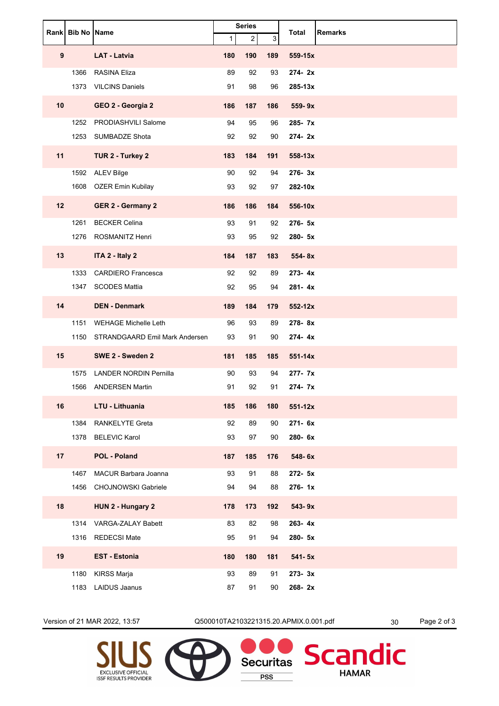|    | Rank Bib No Name |                                     | <b>Series</b> |     |     | <b>Remarks</b><br>Total |
|----|------------------|-------------------------------------|---------------|-----|-----|-------------------------|
|    |                  |                                     | $\mathbf{1}$  | 2   | 3   |                         |
| 9  |                  | <b>LAT - Latvia</b>                 | 180           | 190 | 189 | 559-15x                 |
|    | 1366             | <b>RASINA Eliza</b>                 | 89            | 92  | 93  | 274-2x                  |
|    | 1373             | <b>VILCINS Daniels</b>              | 91            | 98  | 96  | 285-13x                 |
| 10 |                  | GEO 2 - Georgia 2                   | 186           | 187 | 186 | 559-9x                  |
|    | 1252             | PRODIASHVILI Salome                 | 94            | 95  | 96  | 285- 7x                 |
|    | 1253             | SUMBADZE Shota                      | 92            | 92  | 90  | 274-2x                  |
| 11 |                  | TUR 2 - Turkey 2                    | 183           | 184 | 191 | 558-13x                 |
|    |                  | 1592 ALEV Bilge                     | 90            | 92  | 94  | 276-3x                  |
|    | 1608             | OZER Emin Kubilay                   | 93            | 92  | 97  | 282-10x                 |
| 12 |                  | <b>GER 2 - Germany 2</b>            | 186           | 186 | 184 | 556-10x                 |
|    | 1261             | <b>BECKER Celina</b>                | 93            | 91  | 92  | 276- 5x                 |
|    | 1276             | ROSMANITZ Henri                     | 93            | 95  | 92  | 280-5x                  |
| 13 |                  | ITA 2 - Italy 2                     | 184           | 187 | 183 | 554-8x                  |
|    | 1333             | <b>CARDIERO Francesca</b>           | 92            | 92  | 89  | $273 - 4x$              |
|    | 1347             | <b>SCODES Mattia</b>                | 92            | 95  | 94  | 281-4x                  |
| 14 |                  | <b>DEN - Denmark</b>                | 189           | 184 | 179 | $552 - 12x$             |
|    | 1151             | <b>WEHAGE Michelle Leth</b>         | 96            | 93  | 89  | 278-8x                  |
|    |                  | 1150 STRANDGAARD Emil Mark Andersen | 93            | 91  | 90  | 274-4x                  |
| 15 |                  | SWE 2 - Sweden 2                    | 181           | 185 | 185 | $551 - 14x$             |
|    | 1575             | <b>LANDER NORDIN Pernilla</b>       | 90            | 93  | 94  | 277- 7x                 |
|    | 1566             | <b>ANDERSEN Martin</b>              | 91            | 92  | 91  | 274-7x                  |
| 16 |                  | LTU - Lithuania                     | 185           | 186 | 180 | $551 - 12x$             |
|    | 1384             | RANKELYTE Greta                     | 92            | 89  | 90  | 271- 6x                 |
|    | 1378             | <b>BELEVIC Karol</b>                | 93            | 97  | 90  | 280-6x                  |
| 17 |                  | <b>POL - Poland</b>                 | 187           | 185 | 176 | 548-6x                  |
|    | 1467             | <b>MACUR Barbara Joanna</b>         | 93            | 91  | 88  | 272- 5x                 |
|    | 1456             | <b>CHOJNOWSKI Gabriele</b>          | 94            | 94  | 88  | 276-1x                  |
| 18 |                  | HUN 2 - Hungary 2                   | 178           | 173 | 192 | 543-9x                  |
|    |                  | 1314 VARGA-ZALAY Babett             | 83            | 82  | 98  | 263-4x                  |
|    |                  | 1316 REDECSI Mate                   | 95            | 91  | 94  | 280- 5x                 |
| 19 |                  | <b>EST - Estonia</b>                | 180           | 180 | 181 | 541-5x                  |
|    | 1180             | <b>KIRSS Marja</b>                  | 93            | 89  | 91  | 273-3x                  |
|    | 1183             | <b>LAIDUS Jaanus</b>                | 87            | 91  | 90  | 268-2x                  |

Version of 21 MAR 2022, 13:57 Q500010TA2103221315.20.APMIX.0.001.pdf 30 Page 2 of 3

**PSS** 

**HAMAR**